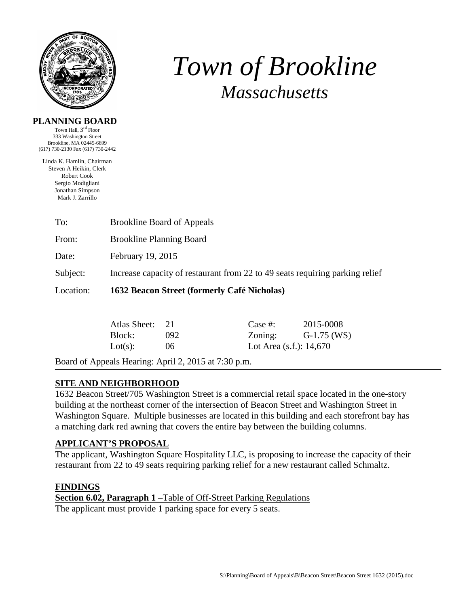

# *Town of Brookline Massachusetts*

#### **PLANNING BOARD**

Town Hall, 3rd Floor 333 Washington Street Brookline, MA 02445-6899 (617) 730-2130 Fax (617) 730-2442

Linda K. Hamlin, Chairman Steven A Heikin, Clerk Robert Cook Sergio Modigliani Jonathan Simpson Mark J. Zarrillo

| To:       |                                                                              | <b>Brookline Board of Appeals</b> |         |           |  |
|-----------|------------------------------------------------------------------------------|-----------------------------------|---------|-----------|--|
| From:     | <b>Brookline Planning Board</b>                                              |                                   |         |           |  |
| Date:     | February 19, 2015                                                            |                                   |         |           |  |
| Subject:  | Increase capacity of restaurant from 22 to 49 seats requiring parking relief |                                   |         |           |  |
| Location: | 1632 Beacon Street (formerly Café Nicholas)                                  |                                   |         |           |  |
|           | Atlas Sheet:                                                                 | - 21                              | Case #: | 2015-0008 |  |

Board of Appeals Hearing: April 2, 2015 at 7:30 p.m.

# **SITE AND NEIGHBORHOOD**

1632 Beacon Street/705 Washington Street is a commercial retail space located in the one-story building at the northeast corner of the intersection of Beacon Street and Washington Street in Washington Square. Multiple businesses are located in this building and each storefront bay has a matching dark red awning that covers the entire bay between the building columns.

Block: 092 Zoning: G-1.75 (WS) Lot(s):  $06$  Lot Area (s.f.): 14,670

# **APPLICANT'S PROPOSAL**

The applicant, Washington Square Hospitality LLC, is proposing to increase the capacity of their restaurant from 22 to 49 seats requiring parking relief for a new restaurant called Schmaltz.

# **FINDINGS**

**Section 6.02, Paragraph 1** –Table of Off-Street Parking Regulations The applicant must provide 1 parking space for every 5 seats.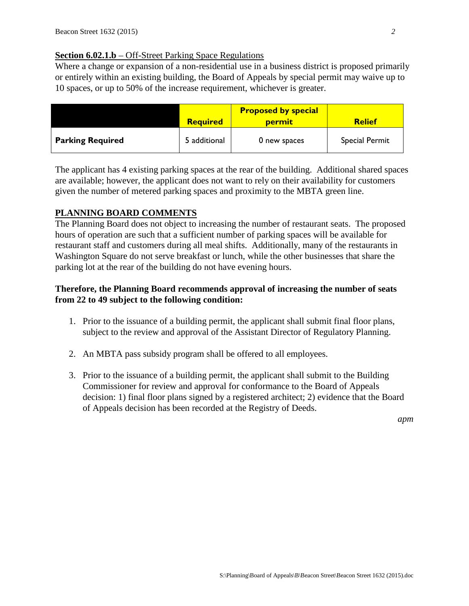### **Section 6.02.1.b** – Off-Street Parking Space Regulations

Where a change or expansion of a non-residential use in a business district is proposed primarily or entirely within an existing building, the Board of Appeals by special permit may waive up to 10 spaces, or up to 50% of the increase requirement, whichever is greater.

|                         | <b>Required</b> | <b>Proposed by special</b><br><u>permit</u> | <b>Relief</b>         |
|-------------------------|-----------------|---------------------------------------------|-----------------------|
| <b>Parking Required</b> | 5 additional    | 0 new spaces                                | <b>Special Permit</b> |

The applicant has 4 existing parking spaces at the rear of the building. Additional shared spaces are available; however, the applicant does not want to rely on their availability for customers given the number of metered parking spaces and proximity to the MBTA green line.

#### **PLANNING BOARD COMMENTS**

The Planning Board does not object to increasing the number of restaurant seats. The proposed hours of operation are such that a sufficient number of parking spaces will be available for restaurant staff and customers during all meal shifts. Additionally, many of the restaurants in Washington Square do not serve breakfast or lunch, while the other businesses that share the parking lot at the rear of the building do not have evening hours.

### **Therefore, the Planning Board recommends approval of increasing the number of seats from 22 to 49 subject to the following condition:**

- 1. Prior to the issuance of a building permit, the applicant shall submit final floor plans, subject to the review and approval of the Assistant Director of Regulatory Planning.
- 2. An MBTA pass subsidy program shall be offered to all employees.
- 3. Prior to the issuance of a building permit, the applicant shall submit to the Building Commissioner for review and approval for conformance to the Board of Appeals decision: 1) final floor plans signed by a registered architect; 2) evidence that the Board of Appeals decision has been recorded at the Registry of Deeds.

*apm*